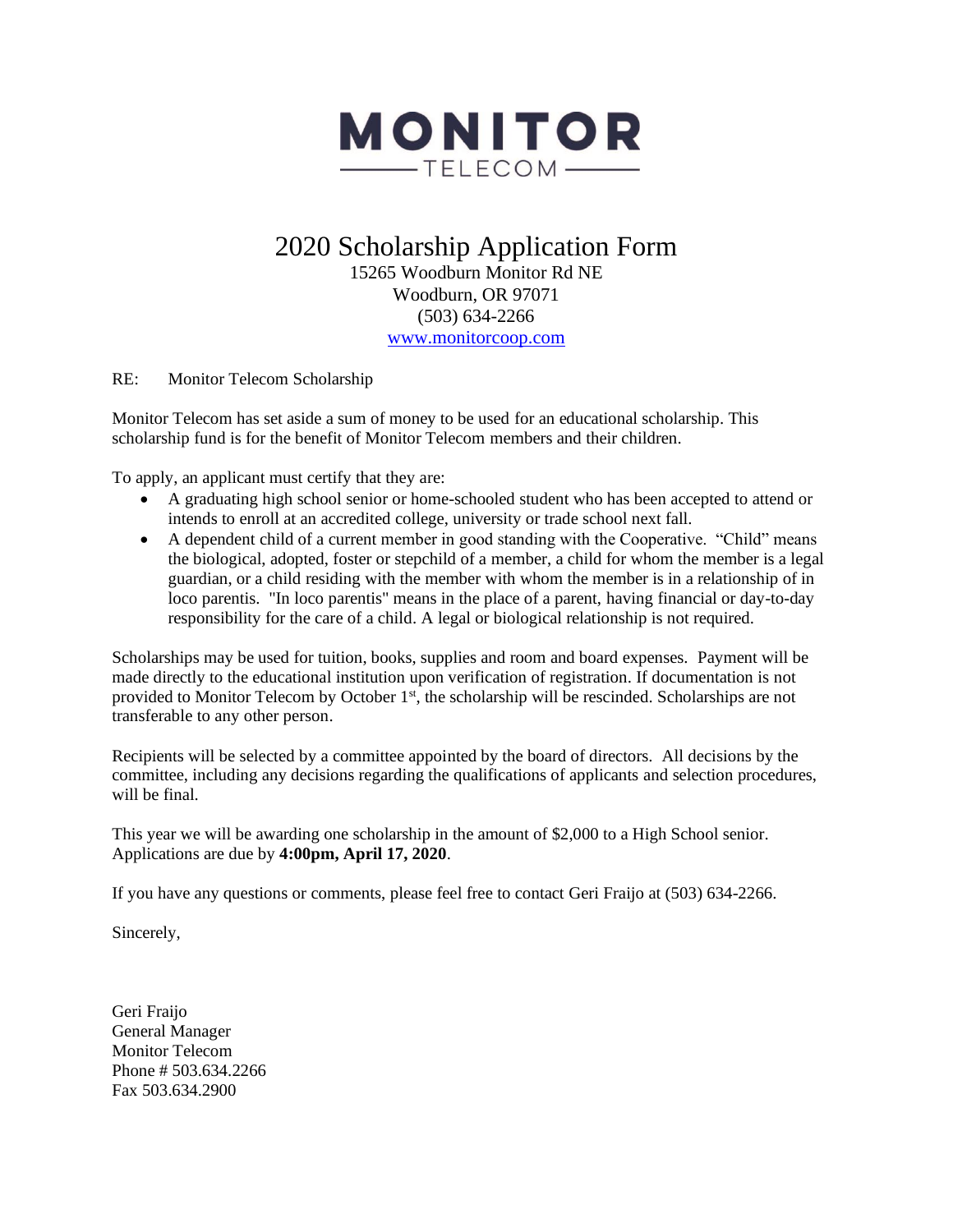

# 2020 Scholarship Application Form

15265 Woodburn Monitor Rd NE Woodburn, OR 97071 (503) 634-2266 [www.monitorcoop.com](http://www.monitorcoop.com/)

RE: Monitor Telecom Scholarship

Monitor Telecom has set aside a sum of money to be used for an educational scholarship. This scholarship fund is for the benefit of Monitor Telecom members and their children.

To apply, an applicant must certify that they are:

- A graduating high school senior or home-schooled student who has been accepted to attend or intends to enroll at an accredited college, university or trade school next fall.
- A dependent child of a current member in good standing with the Cooperative. "Child" means the biological, adopted, foster or stepchild of a member, a child for whom the member is a legal guardian, or a child residing with the member with whom the member is in a relationship of in loco parentis. "In loco parentis" means in the place of a parent, having financial or day-to-day responsibility for the care of a child. A legal or biological relationship is not required.

Scholarships may be used for tuition, books, supplies and room and board expenses. Payment will be made directly to the educational institution upon verification of registration. If documentation is not provided to Monitor Telecom by October  $1<sup>st</sup>$ , the scholarship will be rescinded. Scholarships are not transferable to any other person.

Recipients will be selected by a committee appointed by the board of directors. All decisions by the committee, including any decisions regarding the qualifications of applicants and selection procedures, will be final.

This year we will be awarding one scholarship in the amount of \$2,000 to a High School senior. Applications are due by **4:00pm, April 17, 2020**.

If you have any questions or comments, please feel free to contact Geri Fraijo at (503) 634-2266.

Sincerely,

Geri Fraijo General Manager Monitor Telecom Phone # 503.634.2266 Fax 503.634.2900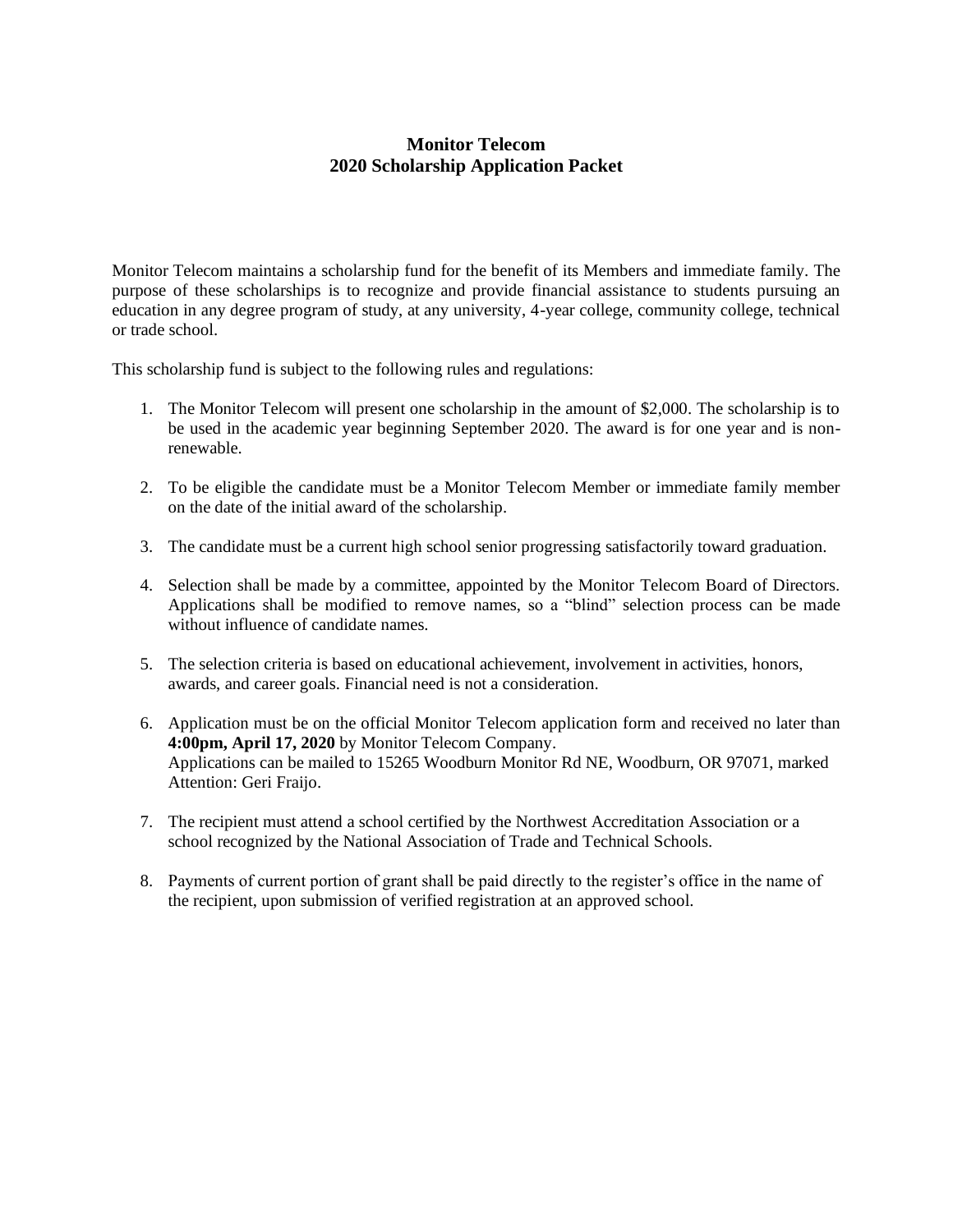### **Monitor Telecom 2020 Scholarship Application Packet**

Monitor Telecom maintains a scholarship fund for the benefit of its Members and immediate family. The purpose of these scholarships is to recognize and provide financial assistance to students pursuing an education in any degree program of study, at any university, 4-year college, community college, technical or trade school.

This scholarship fund is subject to the following rules and regulations:

- 1. The Monitor Telecom will present one scholarship in the amount of \$2,000. The scholarship is to be used in the academic year beginning September 2020. The award is for one year and is nonrenewable.
- 2. To be eligible the candidate must be a Monitor Telecom Member or immediate family member on the date of the initial award of the scholarship.
- 3. The candidate must be a current high school senior progressing satisfactorily toward graduation.
- 4. Selection shall be made by a committee, appointed by the Monitor Telecom Board of Directors. Applications shall be modified to remove names, so a "blind" selection process can be made without influence of candidate names.
- 5. The selection criteria is based on educational achievement, involvement in activities, honors, awards, and career goals. Financial need is not a consideration.
- 6. Application must be on the official Monitor Telecom application form and received no later than **4:00pm, April 17, 2020** by Monitor Telecom Company. Applications can be mailed to 15265 Woodburn Monitor Rd NE, Woodburn, OR 97071, marked Attention: Geri Fraijo.
- 7. The recipient must attend a school certified by the Northwest Accreditation Association or a school recognized by the National Association of Trade and Technical Schools.
- 8. Payments of current portion of grant shall be paid directly to the register's office in the name of the recipient, upon submission of verified registration at an approved school.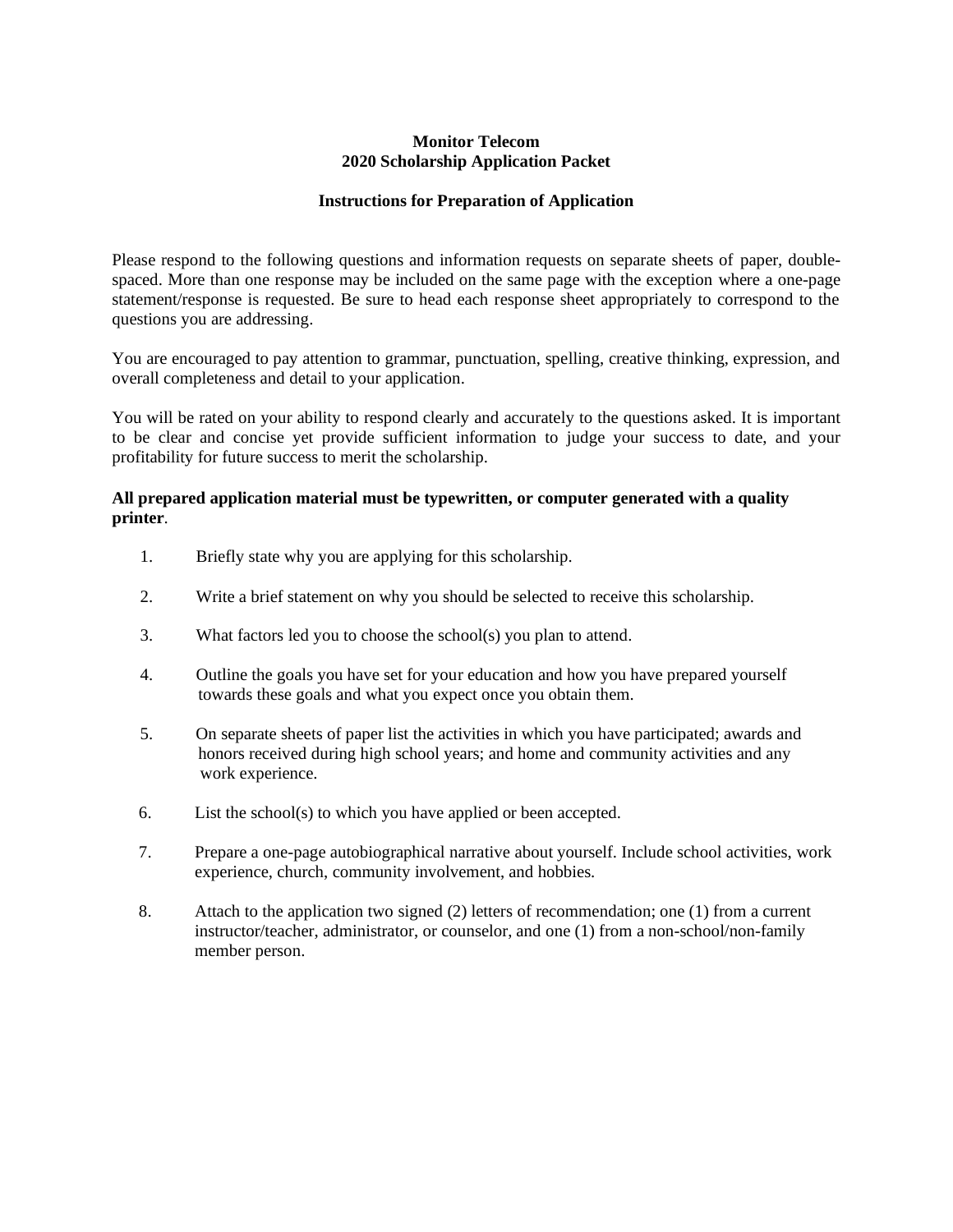#### **Monitor Telecom 2020 Scholarship Application Packet**

#### **Instructions for Preparation of Application**

Please respond to the following questions and information requests on separate sheets of paper, doublespaced. More than one response may be included on the same page with the exception where a one-page statement/response is requested. Be sure to head each response sheet appropriately to correspond to the questions you are addressing.

You are encouraged to pay attention to grammar, punctuation, spelling, creative thinking, expression, and overall completeness and detail to your application.

You will be rated on your ability to respond clearly and accurately to the questions asked. It is important to be clear and concise yet provide sufficient information to judge your success to date, and your profitability for future success to merit the scholarship.

#### **All prepared application material must be typewritten, or computer generated with a quality printer**.

- 1. Briefly state why you are applying for this scholarship.
- 2. Write a brief statement on why you should be selected to receive this scholarship.
- 3. What factors led you to choose the school(s) you plan to attend.
- 4. Outline the goals you have set for your education and how you have prepared yourself towards these goals and what you expect once you obtain them.
- 5. On separate sheets of paper list the activities in which you have participated; awards and honors received during high school years; and home and community activities and any work experience.
- 6. List the school(s) to which you have applied or been accepted.
- 7. Prepare a one-page autobiographical narrative about yourself. Include school activities, work experience, church, community involvement, and hobbies.
- 8. Attach to the application two signed (2) letters of recommendation; one (1) from a current instructor/teacher, administrator, or counselor, and one (1) from a non-school/non-family member person.